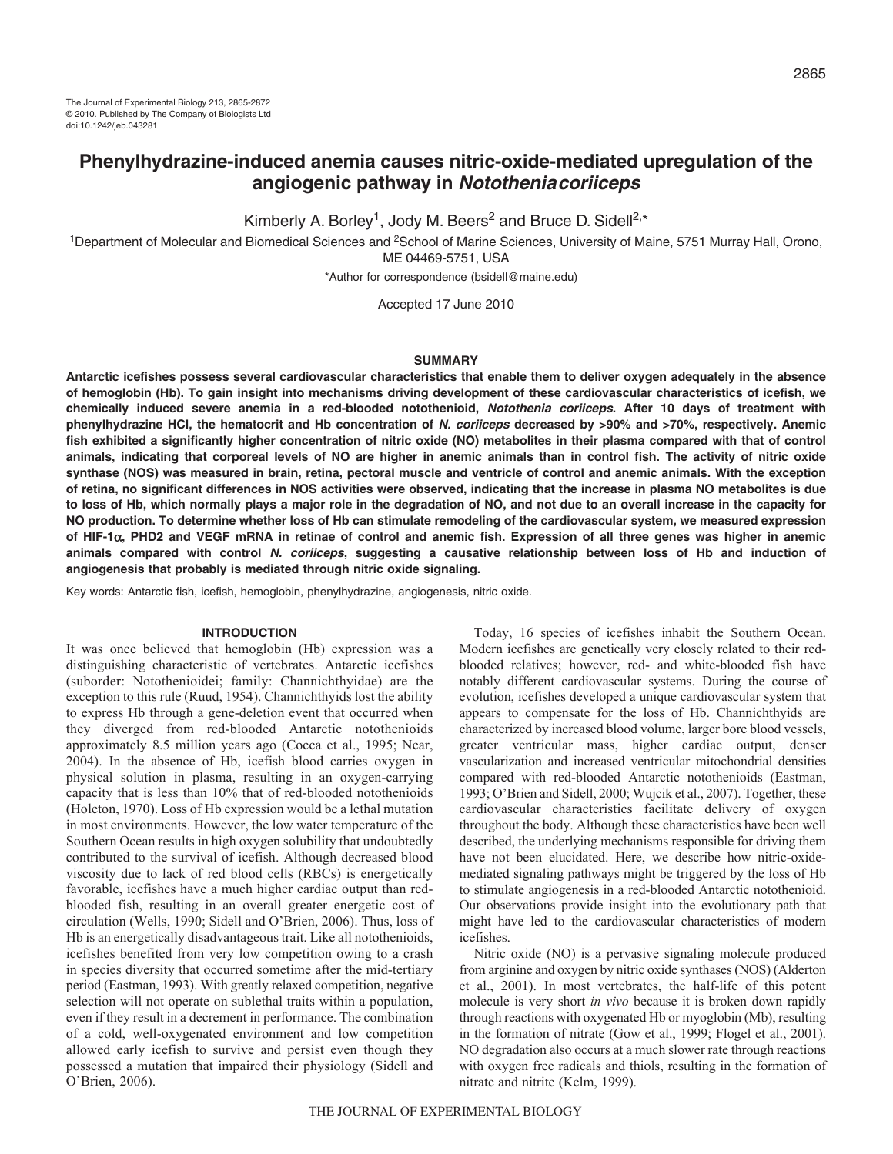# **Phenylhydrazine-induced anemia causes nitric-oxide-mediated upregulation of the angiogenic pathway in Nototheniacoriiceps**

Kimberly A. Borley<sup>1</sup>, Jody M. Beers<sup>2</sup> and Bruce D. Sidell<sup>2,\*</sup>

<sup>1</sup>Department of Molecular and Biomedical Sciences and <sup>2</sup>School of Marine Sciences, University of Maine, 5751 Murray Hall, Orono, ME 04469-5751, USA

\*Author for correspondence (bsidell@maine.edu)

Accepted 17 June 2010

#### **SUMMARY**

**Antarctic icefishes possess several cardiovascular characteristics that enable them to deliver oxygen adequately in the absence of hemoglobin (Hb). To gain insight into mechanisms driving development of these cardiovascular characteristics of icefish, we chemically induced severe anemia in a red-blooded notothenioid, Notothenia coriiceps. After 10 days of treatment with phenylhydrazine HCl, the hematocrit and Hb concentration of N. coriiceps decreased by >90% and >70%, respectively. Anemic fish exhibited a significantly higher concentration of nitric oxide (NO) metabolites in their plasma compared with that of control animals, indicating that corporeal levels of NO are higher in anemic animals than in control fish. The activity of nitric oxide synthase (NOS) was measured in brain, retina, pectoral muscle and ventricle of control and anemic animals. With the exception of retina, no significant differences in NOS activities were observed, indicating that the increase in plasma NO metabolites is due to loss of Hb, which normally plays a major role in the degradation of NO, and not due to an overall increase in the capacity for NO production. To determine whether loss of Hb can stimulate remodeling of the cardiovascular system, we measured expression of HIF-1**a**, PHD2 and VEGF mRNA in retinae of control and anemic fish. Expression of all three genes was higher in anemic animals compared with control N. coriiceps, suggesting a causative relationship between loss of Hb and induction of angiogenesis that probably is mediated through nitric oxide signaling.**

Key words: Antarctic fish, icefish, hemoglobin, phenylhydrazine, angiogenesis, nitric oxide.

## **INTRODUCTION**

It was once believed that hemoglobin (Hb) expression was a distinguishing characteristic of vertebrates. Antarctic icefishes (suborder: Notothenioidei; family: Channichthyidae) are the exception to this rule (Ruud, 1954). Channichthyids lost the ability to express Hb through a gene-deletion event that occurred when they diverged from red-blooded Antarctic notothenioids approximately 8.5 million years ago (Cocca et al., 1995; Near, 2004). In the absence of Hb, icefish blood carries oxygen in physical solution in plasma, resulting in an oxygen-carrying capacity that is less than 10% that of red-blooded notothenioids (Holeton, 1970). Loss of Hb expression would be a lethal mutation in most environments. However, the low water temperature of the Southern Ocean results in high oxygen solubility that undoubtedly contributed to the survival of icefish. Although decreased blood viscosity due to lack of red blood cells (RBCs) is energetically favorable, icefishes have a much higher cardiac output than redblooded fish, resulting in an overall greater energetic cost of circulation (Wells, 1990; Sidell and O'Brien, 2006). Thus, loss of Hb is an energetically disadvantageous trait. Like all notothenioids, icefishes benefited from very low competition owing to a crash in species diversity that occurred sometime after the mid-tertiary period (Eastman, 1993). With greatly relaxed competition, negative selection will not operate on sublethal traits within a population, even if they result in a decrement in performance. The combination of a cold, well-oxygenated environment and low competition allowed early icefish to survive and persist even though they possessed a mutation that impaired their physiology (Sidell and O'Brien, 2006).

Today, 16 species of icefishes inhabit the Southern Ocean. Modern icefishes are genetically very closely related to their redblooded relatives; however, red- and white-blooded fish have notably different cardiovascular systems. During the course of evolution, icefishes developed a unique cardiovascular system that appears to compensate for the loss of Hb. Channichthyids are characterized by increased blood volume, larger bore blood vessels, greater ventricular mass, higher cardiac output, denser vascularization and increased ventricular mitochondrial densities compared with red-blooded Antarctic notothenioids (Eastman, 1993; O'Brien and Sidell, 2000; Wujcik et al., 2007). Together, these cardiovascular characteristics facilitate delivery of oxygen throughout the body. Although these characteristics have been well described, the underlying mechanisms responsible for driving them have not been elucidated. Here, we describe how nitric-oxidemediated signaling pathways might be triggered by the loss of Hb to stimulate angiogenesis in a red-blooded Antarctic notothenioid. Our observations provide insight into the evolutionary path that might have led to the cardiovascular characteristics of modern icefishes.

Nitric oxide (NO) is a pervasive signaling molecule produced from arginine and oxygen by nitric oxide synthases (NOS) (Alderton et al., 2001). In most vertebrates, the half-life of this potent molecule is very short *in vivo* because it is broken down rapidly through reactions with oxygenated Hb or myoglobin (Mb), resulting in the formation of nitrate (Gow et al., 1999; Flogel et al., 2001). NO degradation also occurs at a much slower rate through reactions with oxygen free radicals and thiols, resulting in the formation of nitrate and nitrite (Kelm, 1999).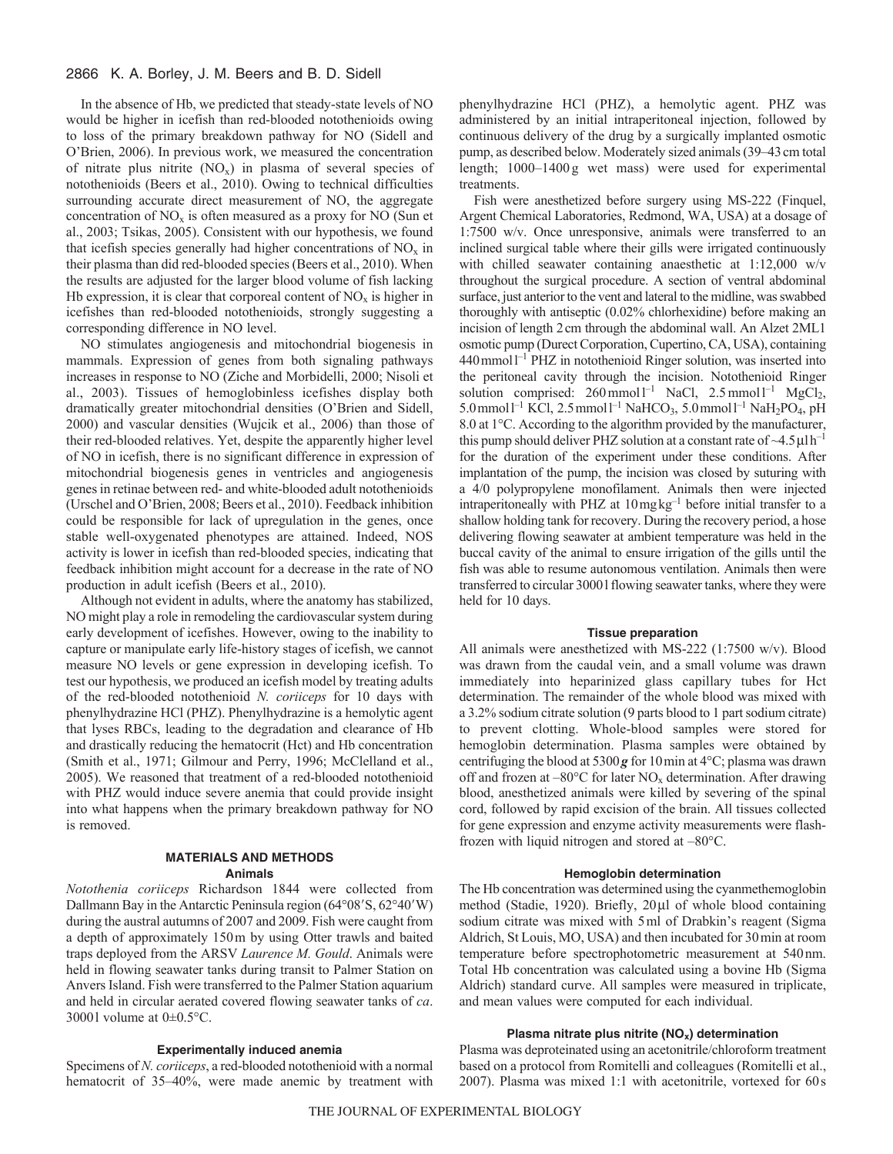#### 2866 K. A. Borley, J. M. Beers and B. D. Sidell

In the absence of Hb, we predicted that steady-state levels of NO would be higher in icefish than red-blooded notothenioids owing to loss of the primary breakdown pathway for NO (Sidell and O'Brien, 2006). In previous work, we measured the concentration of nitrate plus nitrite  $(NO<sub>x</sub>)$  in plasma of several species of notothenioids (Beers et al., 2010). Owing to technical difficulties surrounding accurate direct measurement of NO, the aggregate concentration of  $NO<sub>x</sub>$  is often measured as a proxy for NO (Sun et al., 2003; Tsikas, 2005). Consistent with our hypothesis, we found that icefish species generally had higher concentrations of  $NO<sub>x</sub>$  in their plasma than did red-blooded species (Beers et al., 2010). When the results are adjusted for the larger blood volume of fish lacking Hb expression, it is clear that corporeal content of  $NO<sub>x</sub>$  is higher in icefishes than red-blooded notothenioids, strongly suggesting a corresponding difference in NO level.

NO stimulates angiogenesis and mitochondrial biogenesis in mammals. Expression of genes from both signaling pathways increases in response to NO (Ziche and Morbidelli, 2000; Nisoli et al., 2003). Tissues of hemoglobinless icefishes display both dramatically greater mitochondrial densities (O'Brien and Sidell, 2000) and vascular densities (Wujcik et al., 2006) than those of their red-blooded relatives. Yet, despite the apparently higher level of NO in icefish, there is no significant difference in expression of mitochondrial biogenesis genes in ventricles and angiogenesis genes in retinae between red- and white-blooded adult notothenioids (Urschel and O'Brien, 2008; Beers et al., 2010). Feedback inhibition could be responsible for lack of upregulation in the genes, once stable well-oxygenated phenotypes are attained. Indeed, NOS activity is lower in icefish than red-blooded species, indicating that feedback inhibition might account for a decrease in the rate of NO production in adult icefish (Beers et al., 2010).

Although not evident in adults, where the anatomy has stabilized, NO might play a role in remodeling the cardiovascular system during early development of icefishes. However, owing to the inability to capture or manipulate early life-history stages of icefish, we cannot measure NO levels or gene expression in developing icefish. To test our hypothesis, we produced an icefish model by treating adults of the red-blooded notothenioid *N. coriiceps* for 10 days with phenylhydrazine HCl (PHZ). Phenylhydrazine is a hemolytic agent that lyses RBCs, leading to the degradation and clearance of Hb and drastically reducing the hematocrit (Hct) and Hb concentration (Smith et al., 1971; Gilmour and Perry, 1996; McClelland et al., 2005). We reasoned that treatment of a red-blooded notothenioid with PHZ would induce severe anemia that could provide insight into what happens when the primary breakdown pathway for NO is removed.

#### **MATERIALS AND METHODS Animals**

*Notothenia coriiceps* Richardson 1844 were collected from Dallmann Bay in the Antarctic Peninsula region (64°08'S, 62°40'W) during the austral autumns of 2007 and 2009. Fish were caught from a depth of approximately 150m by using Otter trawls and baited traps deployed from the ARSV *Laurence M. Gould*. Animals were held in flowing seawater tanks during transit to Palmer Station on Anvers Island. Fish were transferred to the Palmer Station aquarium and held in circular aerated covered flowing seawater tanks of *ca*. 30001 volume at  $0\pm0.5^{\circ}$ C.

# **Experimentally induced anemia**

Specimens of *N. coriiceps*, a red-blooded notothenioid with a normal hematocrit of 35–40%, were made anemic by treatment with phenylhydrazine HCl (PHZ), a hemolytic agent. PHZ was administered by an initial intraperitoneal injection, followed by continuous delivery of the drug by a surgically implanted osmotic pump, as described below. Moderately sized animals (39–43cm total length; 1000–1400 g wet mass) were used for experimental treatments.

Fish were anesthetized before surgery using MS-222 (Finquel, Argent Chemical Laboratories, Redmond, WA, USA) at a dosage of 1:7500 w/v. Once unresponsive, animals were transferred to an inclined surgical table where their gills were irrigated continuously with chilled seawater containing anaesthetic at 1:12,000 w/v throughout the surgical procedure. A section of ventral abdominal surface, just anterior to the vent and lateral to the midline, was swabbed thoroughly with antiseptic (0.02% chlorhexidine) before making an incision of length 2cm through the abdominal wall. An Alzet 2ML1 osmotic pump (Durect Corporation, Cupertino, CA, USA), containing 440 mmol<sup>1-1</sup> PHZ in notothenioid Ringer solution, was inserted into the peritoneal cavity through the incision. Notothenioid Ringer solution comprised:  $260 \text{ mmol } l^{-1}$  NaCl,  $2.5 \text{ mmol } l^{-1}$  MgCl<sub>2</sub>,  $5.0$ mmol $1^{-1}$  KCl,  $2.5$ mmol $1^{-1}$  NaHCO<sub>3</sub>,  $5.0$ mmol $1^{-1}$  NaH<sub>2</sub>PO<sub>4</sub>, pH 8.0 at 1°C. According to the algorithm provided by the manufacturer, this pump should deliver PHZ solution at a constant rate of  $\sim4.5 \mu l \, h^{-1}$ for the duration of the experiment under these conditions. After implantation of the pump, the incision was closed by suturing with a 4/0 polypropylene monofilament. Animals then were injected intraperitoneally with PHZ at  $10 \text{ mg} \text{ kg}^{-1}$  before initial transfer to a shallow holding tank for recovery. During the recovery period, a hose delivering flowing seawater at ambient temperature was held in the buccal cavity of the animal to ensure irrigation of the gills until the fish was able to resume autonomous ventilation. Animals then were transferred to circular 3000l flowing seawater tanks, where they were held for 10 days.

#### **Tissue preparation**

All animals were anesthetized with MS-222 (1:7500 w/v). Blood was drawn from the caudal vein, and a small volume was drawn immediately into heparinized glass capillary tubes for Hct determination. The remainder of the whole blood was mixed with a 3.2% sodium citrate solution (9 parts blood to 1 part sodium citrate) to prevent clotting. Whole-blood samples were stored for hemoglobin determination. Plasma samples were obtained by centrifuging the blood at 5300*g* for 10min at 4°C; plasma was drawn off and frozen at  $-80^{\circ}$ C for later NO<sub>x</sub> determination. After drawing blood, anesthetized animals were killed by severing of the spinal cord, followed by rapid excision of the brain. All tissues collected for gene expression and enzyme activity measurements were flashfrozen with liquid nitrogen and stored at –80°C.

#### **Hemoglobin determination**

The Hb concentration was determined using the cyanmethemoglobin method (Stadie, 1920). Briefly, 20µl of whole blood containing sodium citrate was mixed with 5ml of Drabkin's reagent (Sigma Aldrich, St Louis, MO, USA) and then incubated for 30min at room temperature before spectrophotometric measurement at 540nm. Total Hb concentration was calculated using a bovine Hb (Sigma Aldrich) standard curve. All samples were measured in triplicate, and mean values were computed for each individual.

#### Plasma nitrate plus nitrite (NO<sub>x</sub>) determination

Plasma was deproteinated using an acetonitrile/chloroform treatment based on a protocol from Romitelli and colleagues (Romitelli et al., 2007). Plasma was mixed 1:1 with acetonitrile, vortexed for 60s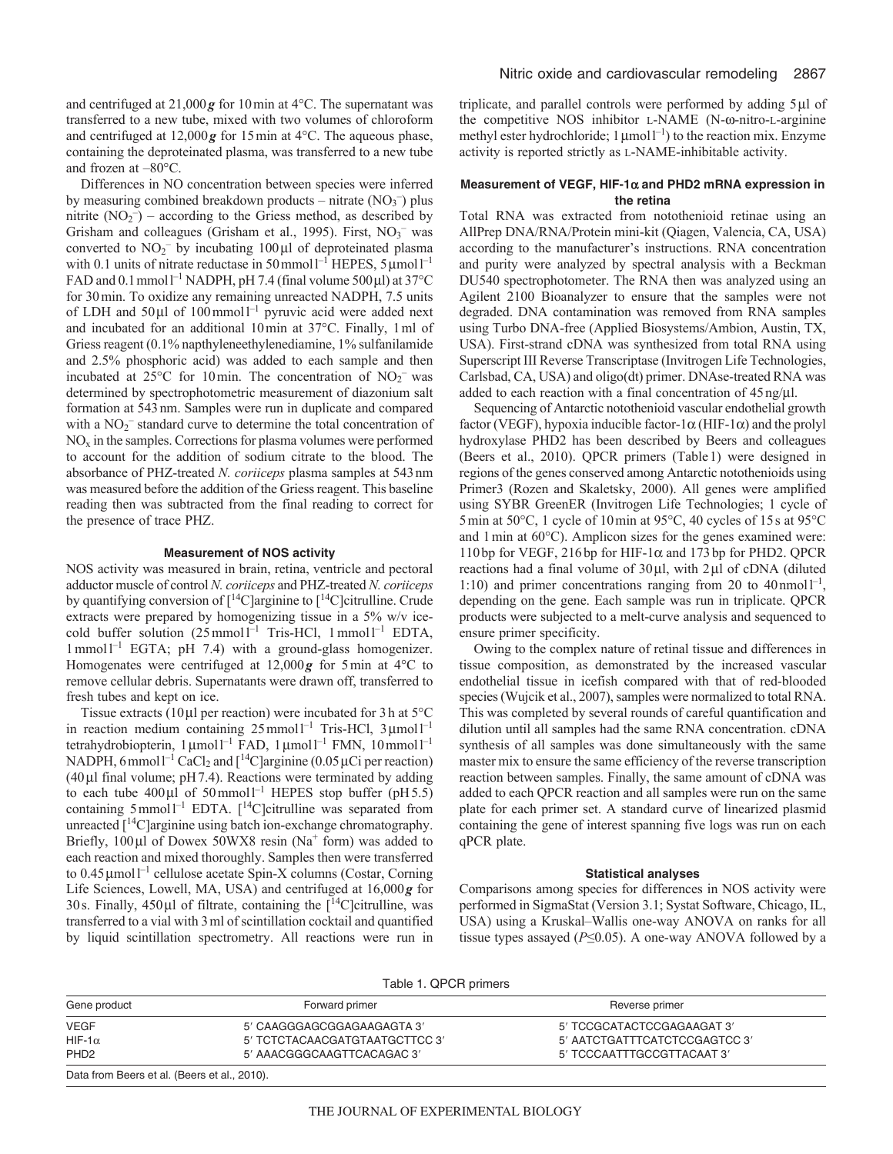and centrifuged at 21,000*g* for 10min at 4°C. The supernatant was transferred to a new tube, mixed with two volumes of chloroform and centrifuged at 12,000*g* for 15min at 4°C. The aqueous phase, containing the deproteinated plasma, was transferred to a new tube and frozen at –80°C.

Differences in NO concentration between species were inferred by measuring combined breakdown products – nitrate  $(NO<sub>3</sub><sup>-</sup>)$  plus nitrite  $(NO<sub>2</sub><sup>-</sup>)$  – according to the Griess method, as described by Grisham and colleagues (Grisham et al., 1995). First,  $NO<sub>3</sub>$ <sup>-</sup> was converted to  $NO<sub>2</sub><sup>-</sup>$  by incubating 100 $\mu$ l of deproteinated plasma with 0.1 units of nitrate reductase in  $50$  mmol  $1^{-1}$  HEPES,  $5 \mu$ mol  $1^{-1}$ FAD and 0.1 mmol<sup>1-1</sup> NADPH, pH 7.4 (final volume 500 $\mu$ l) at 37°C for 30min. To oxidize any remaining unreacted NADPH, 7.5 units of LDH and  $50 \mu l$  of  $100 \text{mmol}^{-1}$  pyruvic acid were added next and incubated for an additional 10min at 37°C. Finally, 1ml of Griess reagent (0.1% napthyleneethylenediamine, 1% sulfanilamide and 2.5% phosphoric acid) was added to each sample and then incubated at  $25^{\circ}$ C for 10 min. The concentration of NO<sub>2</sub><sup>-</sup> was determined by spectrophotometric measurement of diazonium salt formation at 543nm. Samples were run in duplicate and compared with a  $NO<sub>2</sub><sup>-</sup>$  standard curve to determine the total concentration of  $NO<sub>x</sub>$  in the samples. Corrections for plasma volumes were performed to account for the addition of sodium citrate to the blood. The absorbance of PHZ-treated *N. coriiceps* plasma samples at 543nm was measured before the addition of the Griess reagent. This baseline reading then was subtracted from the final reading to correct for the presence of trace PHZ.

#### **Measurement of NOS activity**

NOS activity was measured in brain, retina, ventricle and pectoral adductor muscle of control *N. coriiceps* and PHZ-treated *N. coriiceps* by quantifying conversion of  $[{}^{14}C]$ arginine to  $[{}^{14}C]$ citrulline. Crude extracts were prepared by homogenizing tissue in a 5% w/v icecold buffer solution  $(25 \text{mmol}^{-1} \text{ Tris-HCl}, 1 \text{mmol}^{-1} \text{EDTA},$ 1mmoll –1 EGTA; pH 7.4) with a ground-glass homogenizer. Homogenates were centrifuged at 12,000*g* for 5min at 4°C to remove cellular debris. Supernatants were drawn off, transferred to fresh tubes and kept on ice.

Tissue extracts (10 $\mu$ l per reaction) were incubated for 3 h at 5°C in reaction medium containing  $25$  mmol<sup>1-1</sup> Tris-HCl,  $3 \mu$ mol<sup>1-1</sup> tetrahydrobiopterin, 1 μmol<sup>1-1</sup> FAD, 1 μmol<sup>1-1</sup> FMN, 10 mmol<sup>1-1</sup> NADPH, 6 mmol<sup>1-1</sup> CaCl<sub>2</sub> and  $\left[$ <sup>14</sup>C]arginine (0.05 µCi per reaction)  $(40 \mu$ l final volume; pH7.4). Reactions were terminated by adding to each tube  $400 \mu l$  of  $50 \text{mmol} \, l^{-1}$  HEPES stop buffer (pH5.5) containing  $5$  mmol<sup>1-1</sup> EDTA. [<sup>14</sup>C]citrulline was separated from unreacted [<sup>14</sup>C]arginine using batch ion-exchange chromatography. Briefly,  $100 \mu l$  of Dowex 50WX8 resin (Na<sup>+</sup> form) was added to each reaction and mixed thoroughly. Samples then were transferred to  $0.45 \mu$ moll<sup>-1</sup> cellulose acetate Spin-X columns (Costar, Corning Life Sciences, Lowell, MA, USA) and centrifuged at 16,000*g* for 30s. Finally,  $450 \mu l$  of filtrate, containing the  $[14C]$ citrulline, was transferred to a vial with 3ml of scintillation cocktail and quantified by liquid scintillation spectrometry. All reactions were run in triplicate, and parallel controls were performed by adding 5 µ of the competitive NOS inhibitor  $L-NAME$  (N- $\omega$ -nitro-L-arginine methyl ester hydrochloride;  $1 \mu$ moll<sup>-1</sup>) to the reaction mix. Enzyme activity is reported strictly as L-NAME-inhibitable activity.

#### **Measurement of VEGF, HIF-1**a **and PHD2 mRNA expression in the retina**

Total RNA was extracted from notothenioid retinae using an AllPrep DNA/RNA/Protein mini-kit (Qiagen, Valencia, CA, USA) according to the manufacturer's instructions. RNA concentration and purity were analyzed by spectral analysis with a Beckman DU540 spectrophotometer. The RNA then was analyzed using an Agilent 2100 Bioanalyzer to ensure that the samples were not degraded. DNA contamination was removed from RNA samples using Turbo DNA-free (Applied Biosystems/Ambion, Austin, TX, USA). First-strand cDNA was synthesized from total RNA using Superscript III Reverse Transcriptase (Invitrogen Life Technologies, Carlsbad, CA, USA) and oligo(dt) primer. DNAse-treated RNA was added to each reaction with a final concentration of  $45 \text{ ng/ll}.$ 

Sequencing of Antarctic notothenioid vascular endothelial growth factor (VEGF), hypoxia inducible factor-1 $\alpha$  (HIF-1 $\alpha$ ) and the prolyl hydroxylase PHD2 has been described by Beers and colleagues (Beers et al., 2010). QPCR primers (Table1) were designed in regions of the genes conserved among Antarctic notothenioids using Primer3 (Rozen and Skaletsky, 2000). All genes were amplified using SYBR GreenER (Invitrogen Life Technologies; 1 cycle of 5min at 50°C, 1 cycle of 10min at 95°C, 40 cycles of 15s at 95°C and 1min at 60°C). Amplicon sizes for the genes examined were: 110 bp for VEGF, 216 bp for HIF-1 $\alpha$  and 173 bp for PHD2. QPCR reactions had a final volume of  $30 \mu l$ , with  $2 \mu l$  of cDNA (diluted 1:10) and primer concentrations ranging from 20 to 40 nmol<sup>1-1</sup>, depending on the gene. Each sample was run in triplicate. QPCR products were subjected to a melt-curve analysis and sequenced to ensure primer specificity.

Owing to the complex nature of retinal tissue and differences in tissue composition, as demonstrated by the increased vascular endothelial tissue in icefish compared with that of red-blooded species (Wujcik et al., 2007), samples were normalized to total RNA. This was completed by several rounds of careful quantification and dilution until all samples had the same RNA concentration. cDNA synthesis of all samples was done simultaneously with the same master mix to ensure the same efficiency of the reverse transcription reaction between samples. Finally, the same amount of cDNA was added to each QPCR reaction and all samples were run on the same plate for each primer set. A standard curve of linearized plasmid containing the gene of interest spanning five logs was run on each qPCR plate.

#### **Statistical analyses**

Comparisons among species for differences in NOS activity were performed in SigmaStat (Version 3.1; Systat Software, Chicago, IL, USA) using a Kruskal–Wallis one-way ANOVA on ranks for all tissue types assayed (*P*≤0.05). A one-way ANOVA followed by a

Table 1. QPCR primers

| Gene product     | Forward primer                 | Reverse primer                |
|------------------|--------------------------------|-------------------------------|
| <b>VEGF</b>      | 5' CAAGGGAGCGGAGAAGAGTA 3'     | 5' TCCGCATACTCCGAGAAGAT 3'    |
| HIF-1 $\alpha$   | 5' TCTCTACAACGATGTAATGCTTCC 3' | 5' AATCTGATTTCATCTCCGAGTCC 3' |
| PHD <sub>2</sub> | 5' AAACGGGCAAGTTCACAGAC 3'     | 5' TCCCAATTTGCCGTTACAAT 3'    |

Data from Beers et al. (Beers et al., 2010).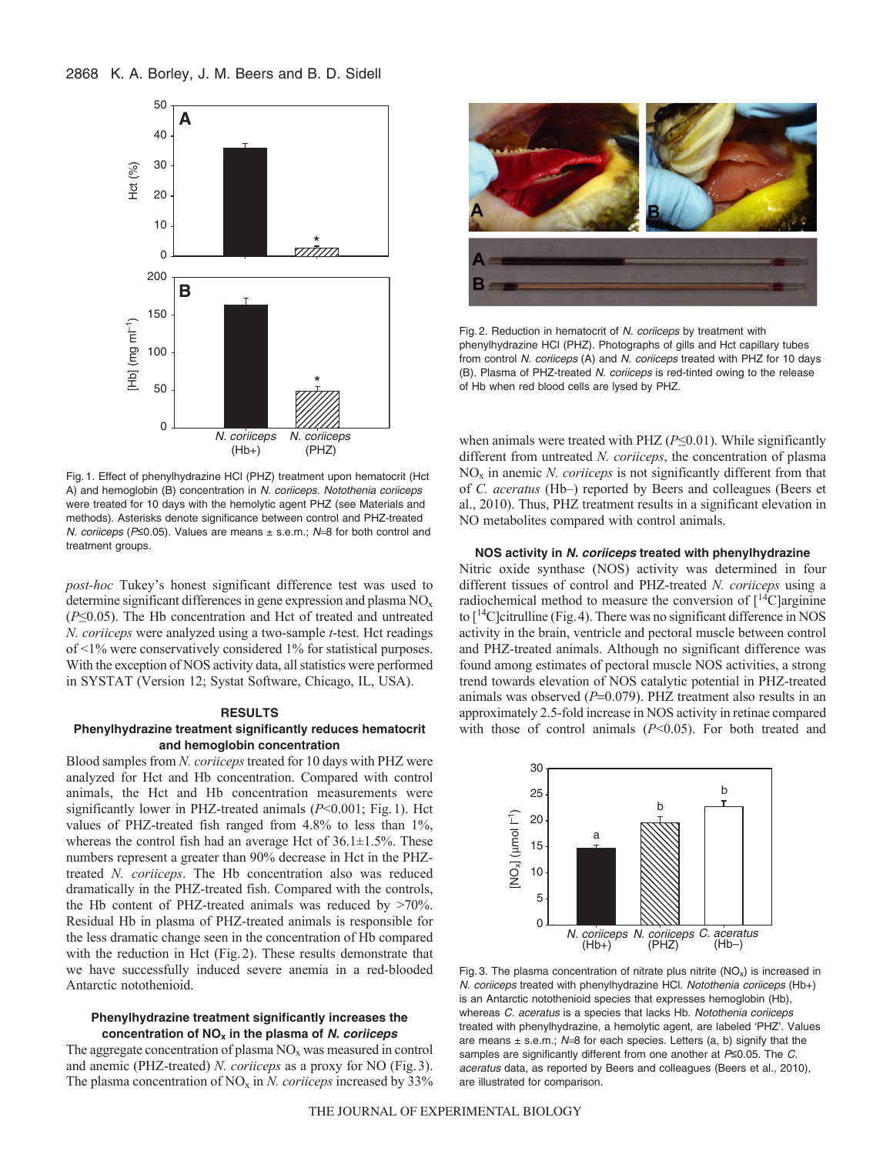2868 K. A. Borley, J. M. Beers and B. D. Sidell



Fig. 1. Effect of phenylhydrazine HCl (PHZ) treatment upon hematocrit (Hct A) and hemoglobin (B) concentration in N. coriiceps. Notothenia coriiceps were treated for 10 days with the hemolytic agent PHZ (see Materials and methods). Asterisks denote significance between control and PHZ-treated N. coriiceps ( $P≤0.05$ ). Values are means ± s.e.m.; N=8 for both control and treatment groups.

*post-hoc* Tukey's honest significant difference test was used to determine significant differences in gene expression and plasma  $NO<sub>x</sub>$ (*P*≤0.05). The Hb concentration and Hct of treated and untreated *N. coriiceps* were analyzed using a two-sample *t*-test. Hct readings of <1% were conservatively considered 1% for statistical purposes. With the exception of NOS activity data, all statistics were performed in SYSTAT (Version 12; Systat Software, Chicago, IL, USA).

# **RESULTS**

# **Phenylhydrazine treatment significantly reduces hematocrit and hemoglobin concentration**

Blood samples from *N. coriiceps* treated for 10 days with PHZ were analyzed for Hct and Hb concentration. Compared with control animals, the Hct and Hb concentration measurements were significantly lower in PHZ-treated animals (*P*<0.001; Fig.1). Hct values of PHZ-treated fish ranged from 4.8% to less than 1%, whereas the control fish had an average Hct of  $36.1 \pm 1.5$ %. These numbers represent a greater than 90% decrease in Hct in the PHZtreated *N. coriiceps*. The Hb concentration also was reduced dramatically in the PHZ-treated fish. Compared with the controls, the Hb content of PHZ-treated animals was reduced by >70%. Residual Hb in plasma of PHZ-treated animals is responsible for the less dramatic change seen in the concentration of Hb compared with the reduction in Hct (Fig. 2). These results demonstrate that we have successfully induced severe anemia in a red-blooded Antarctic notothenioid.

### **Phenylhydrazine treatment significantly increases the concentration of NOx in the plasma of N. coriiceps**

The aggregate concentration of plasma  $NO<sub>x</sub>$  was measured in control and anemic (PHZ-treated) *N. coriiceps* as a proxy for NO (Fig.3). The plasma concentration of  $NO<sub>x</sub>$  in *N. coriiceps* increased by 33%



Fig. 2. Reduction in hematocrit of N. coriiceps by treatment with phenylhydrazine HCl (PHZ). Photographs of gills and Hct capillary tubes from control N. coriiceps (A) and N. coriiceps treated with PHZ for 10 days (B). Plasma of PHZ-treated N. coriiceps is red-tinted owing to the release of Hb when red blood cells are lysed by PHZ.

when animals were treated with PHZ (*P*≤0.01). While significantly different from untreated *N. coriiceps*, the concentration of plasma NOx in anemic *N. coriiceps* is not significantly different from that of *C. aceratus* (Hb–) reported by Beers and colleagues (Beers et al., 2010). Thus, PHZ treatment results in a significant elevation in NO metabolites compared with control animals.

#### **NOS activity in N. coriiceps treated with phenylhydrazine**

Nitric oxide synthase (NOS) activity was determined in four different tissues of control and PHZ-treated *N. coriiceps* using a radiochemical method to measure the conversion of  $\int_1^{14}C$  arginine to [14C]citrulline (Fig.4). There was no significant difference in NOS activity in the brain, ventricle and pectoral muscle between control and PHZ-treated animals. Although no significant difference was found among estimates of pectoral muscle NOS activities, a strong trend towards elevation of NOS catalytic potential in PHZ-treated animals was observed  $(P=0.079)$ . PHZ treatment also results in an approximately 2.5-fold increase in NOS activity in retinae compared with those of control animals ( $P<0.05$ ). For both treated and



Fig. 3. The plasma concentration of nitrate plus nitrite  $(NO_x)$  is increased in N. coriiceps treated with phenylhydrazine HCl. Notothenia coriiceps (Hb+) is an Antarctic notothenioid species that expresses hemoglobin (Hb), whereas C. aceratus is a species that lacks Hb. Notothenia coriiceps treated with phenylhydrazine, a hemolytic agent, are labeled 'PHZ'. Values are means  $\pm$  s.e.m.; N=8 for each species. Letters (a, b) signify that the samples are significantly different from one another at P≤0.05. The C. aceratus data, as reported by Beers and colleagues (Beers et al., 2010), are illustrated for comparison.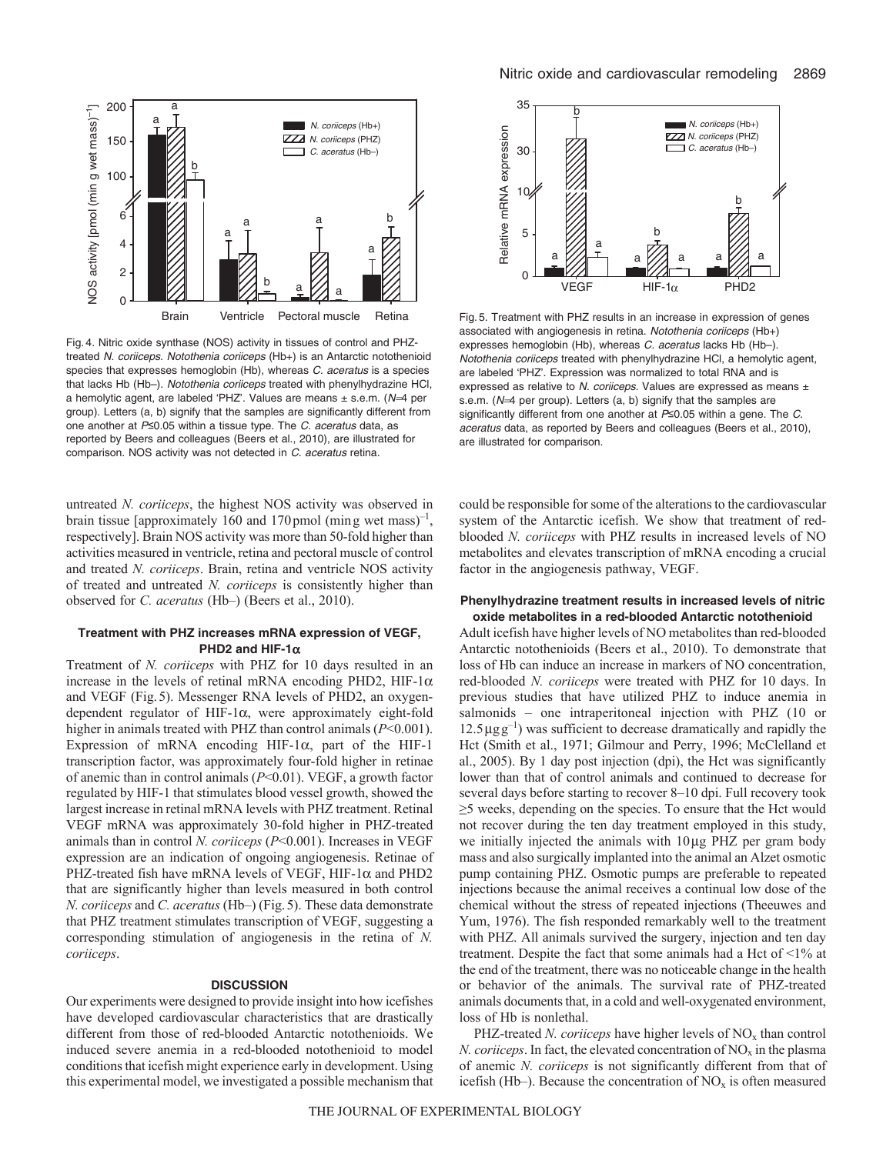

Fig. 4. Nitric oxide synthase (NOS) activity in tissues of control and PHZtreated N. coriiceps. Notothenia coriiceps (Hb+) is an Antarctic notothenioid species that expresses hemoglobin (Hb), whereas C. aceratus is a species that lacks Hb (Hb-). Notothenia coriiceps treated with phenylhydrazine HCl, a hemolytic agent, are labeled 'PHZ'. Values are means  $\pm$  s.e.m. ( $N=4$  per group). Letters (a, b) signify that the samples are significantly different from one another at P≤0.05 within a tissue type. The C. aceratus data, as reported by Beers and colleagues (Beers et al., 2010), are illustrated for comparison. NOS activity was not detected in C. aceratus retina.

untreated *N. coriiceps*, the highest NOS activity was observed in brain tissue [approximately 160 and 170 pmol (ming wet mass)<sup>-1</sup>, respectively]. Brain NOS activity was more than 50-fold higher than activities measured in ventricle, retina and pectoral muscle of control and treated *N. coriiceps*. Brain, retina and ventricle NOS activity of treated and untreated *N. coriiceps* is consistently higher than observed for *C. aceratus* (Hb–) (Beers et al., 2010).

# **Treatment with PHZ increases mRNA expression of VEGF, PHD2 and HIF-1**a

Treatment of *N. coriiceps* with PHZ for 10 days resulted in an increase in the levels of retinal mRNA encoding PHD2, HIF-1 $\alpha$ and VEGF (Fig.5). Messenger RNA levels of PHD2, an oxygendependent regulator of HIF-1 $\alpha$ , were approximately eight-fold higher in animals treated with PHZ than control animals ( $P<0.001$ ). Expression of mRNA encoding HIF-1 $\alpha$ , part of the HIF-1 transcription factor, was approximately four-fold higher in retinae of anemic than in control animals (*P*<0.01). VEGF, a growth factor regulated by HIF-1 that stimulates blood vessel growth, showed the largest increase in retinal mRNA levels with PHZ treatment. Retinal VEGF mRNA was approximately 30-fold higher in PHZ-treated animals than in control *N. coriiceps* (*P*<0.001). Increases in VEGF expression are an indication of ongoing angiogenesis. Retinae of PHZ-treated fish have mRNA levels of VEGF, HIF-1 $\alpha$  and PHD2 that are significantly higher than levels measured in both control *N. coriiceps* and *C. aceratus* (Hb–) (Fig.5). These data demonstrate that PHZ treatment stimulates transcription of VEGF, suggesting a corresponding stimulation of angiogenesis in the retina of *N. coriiceps*.

### **DISCUSSION**

Our experiments were designed to provide insight into how icefishes have developed cardiovascular characteristics that are drastically different from those of red-blooded Antarctic notothenioids. We induced severe anemia in a red-blooded notothenioid to model conditions that icefish might experience early in development. Using this experimental model, we investigated a possible mechanism that



Fig. 5. Treatment with PHZ results in an increase in expression of genes associated with angiogenesis in retina. Notothenia coriiceps (Hb+) expresses hemoglobin (Hb), whereas C. aceratus lacks Hb (Hb-). Notothenia coriiceps treated with phenylhydrazine HCl, a hemolytic agent, are labeled 'PHZ'. Expression was normalized to total RNA and is expressed as relative to N. coriiceps. Values are expressed as means  $\pm$ s.e.m.  $(N=4$  per group). Letters  $(a, b)$  signify that the samples are significantly different from one another at P≤0.05 within a gene. The C. aceratus data, as reported by Beers and colleagues (Beers et al., 2010), are illustrated for comparison.

could be responsible for some of the alterations to the cardiovascular system of the Antarctic icefish. We show that treatment of redblooded *N. coriiceps* with PHZ results in increased levels of NO metabolites and elevates transcription of mRNA encoding a crucial factor in the angiogenesis pathway, VEGF.

### **Phenylhydrazine treatment results in increased levels of nitric oxide metabolites in a red-blooded Antarctic notothenioid**

Adult icefish have higher levels of NO metabolites than red-blooded Antarctic notothenioids (Beers et al., 2010). To demonstrate that loss of Hb can induce an increase in markers of NO concentration, red-blooded *N. coriiceps* were treated with PHZ for 10 days. In previous studies that have utilized PHZ to induce anemia in salmonids – one intraperitoneal injection with PHZ (10 or  $12.5 \mu$ gg<sup>-1</sup>) was sufficient to decrease dramatically and rapidly the Hct (Smith et al., 1971; Gilmour and Perry, 1996; McClelland et al., 2005). By 1 day post injection (dpi), the Hct was significantly lower than that of control animals and continued to decrease for several days before starting to recover 8–10 dpi. Full recovery took ≥5 weeks, depending on the species. To ensure that the Hct would not recover during the ten day treatment employed in this study, we initially injected the animals with 10µg PHZ per gram body mass and also surgically implanted into the animal an Alzet osmotic pump containing PHZ. Osmotic pumps are preferable to repeated injections because the animal receives a continual low dose of the chemical without the stress of repeated injections (Theeuwes and Yum, 1976). The fish responded remarkably well to the treatment with PHZ. All animals survived the surgery, injection and ten day treatment. Despite the fact that some animals had a Hct of <1% at the end of the treatment, there was no noticeable change in the health or behavior of the animals. The survival rate of PHZ-treated animals documents that, in a cold and well-oxygenated environment, loss of Hb is nonlethal.

PHZ-treated *N. coriiceps* have higher levels of  $NO<sub>x</sub>$  than control *N. coriiceps*. In fact, the elevated concentration of  $NO<sub>x</sub>$  in the plasma of anemic *N. coriiceps* is not significantly different from that of icefish (Hb–). Because the concentration of  $NO<sub>x</sub>$  is often measured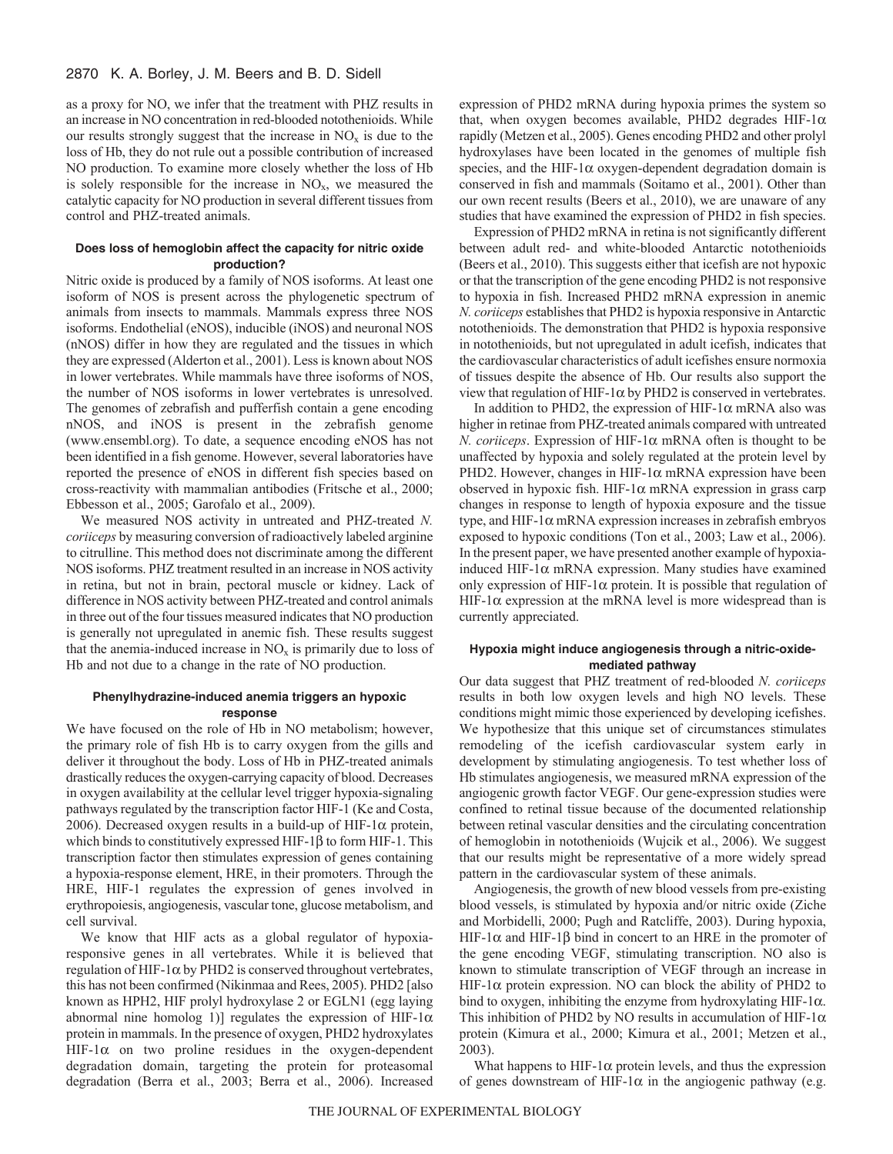as a proxy for NO, we infer that the treatment with PHZ results in an increase in NO concentration in red-blooded notothenioids. While our results strongly suggest that the increase in  $NO<sub>x</sub>$  is due to the loss of Hb, they do not rule out a possible contribution of increased NO production. To examine more closely whether the loss of Hb is solely responsible for the increase in  $NO<sub>x</sub>$ , we measured the catalytic capacity for NO production in several different tissues from control and PHZ-treated animals.

# **Does loss of hemoglobin affect the capacity for nitric oxide production?**

Nitric oxide is produced by a family of NOS isoforms. At least one isoform of NOS is present across the phylogenetic spectrum of animals from insects to mammals. Mammals express three NOS isoforms. Endothelial (eNOS), inducible (iNOS) and neuronal NOS (nNOS) differ in how they are regulated and the tissues in which they are expressed (Alderton et al., 2001). Less is known about NOS in lower vertebrates. While mammals have three isoforms of NOS, the number of NOS isoforms in lower vertebrates is unresolved. The genomes of zebrafish and pufferfish contain a gene encoding nNOS, and iNOS is present in the zebrafish genome (www.ensembl.org). To date, a sequence encoding eNOS has not been identified in a fish genome. However, several laboratories have reported the presence of eNOS in different fish species based on cross-reactivity with mammalian antibodies (Fritsche et al., 2000; Ebbesson et al., 2005; Garofalo et al., 2009).

We measured NOS activity in untreated and PHZ-treated *N. coriiceps* by measuring conversion of radioactively labeled arginine to citrulline. This method does not discriminate among the different NOS isoforms. PHZ treatment resulted in an increase in NOS activity in retina, but not in brain, pectoral muscle or kidney. Lack of difference in NOS activity between PHZ-treated and control animals in three out of the four tissues measured indicates that NO production is generally not upregulated in anemic fish. These results suggest that the anemia-induced increase in  $NO<sub>x</sub>$  is primarily due to loss of Hb and not due to a change in the rate of NO production.

## **Phenylhydrazine-induced anemia triggers an hypoxic response**

We have focused on the role of Hb in NO metabolism; however, the primary role of fish Hb is to carry oxygen from the gills and deliver it throughout the body. Loss of Hb in PHZ-treated animals drastically reduces the oxygen-carrying capacity of blood. Decreases in oxygen availability at the cellular level trigger hypoxia-signaling pathways regulated by the transcription factor HIF-1 (Ke and Costa, 2006). Decreased oxygen results in a build-up of HIF-1 $\alpha$  protein, which binds to constitutively expressed HIF-1 $\beta$  to form HIF-1. This transcription factor then stimulates expression of genes containing a hypoxia-response element, HRE, in their promoters. Through the HRE, HIF-1 regulates the expression of genes involved in erythropoiesis, angiogenesis, vascular tone, glucose metabolism, and cell survival.

We know that HIF acts as a global regulator of hypoxiaresponsive genes in all vertebrates. While it is believed that regulation of HIF-1 $\alpha$  by PHD2 is conserved throughout vertebrates, this has not been confirmed (Nikinmaa and Rees, 2005). PHD2 [also known as HPH2, HIF prolyl hydroxylase 2 or EGLN1 (egg laying abnormal nine homolog 1)] regulates the expression of HIF-1 $\alpha$ protein in mammals. In the presence of oxygen, PHD2 hydroxylates  $HIF-1\alpha$  on two proline residues in the oxygen-dependent degradation domain, targeting the protein for proteasomal degradation (Berra et al., 2003; Berra et al., 2006). Increased expression of PHD2 mRNA during hypoxia primes the system so that, when oxygen becomes available, PHD2 degrades HIF-1 $\alpha$ rapidly (Metzen et al., 2005). Genes encoding PHD2 and other prolyl hydroxylases have been located in the genomes of multiple fish species, and the HIF-1 $\alpha$  oxygen-dependent degradation domain is conserved in fish and mammals (Soitamo et al., 2001). Other than our own recent results (Beers et al., 2010), we are unaware of any studies that have examined the expression of PHD2 in fish species.

Expression of PHD2 mRNA in retina is not significantly different between adult red- and white-blooded Antarctic notothenioids (Beers et al., 2010). This suggests either that icefish are not hypoxic or that the transcription of the gene encoding PHD2 is not responsive to hypoxia in fish. Increased PHD2 mRNA expression in anemic *N. coriiceps* establishes that PHD2 is hypoxia responsive in Antarctic notothenioids. The demonstration that PHD2 is hypoxia responsive in notothenioids, but not upregulated in adult icefish, indicates that the cardiovascular characteristics of adult icefishes ensure normoxia of tissues despite the absence of Hb. Our results also support the view that regulation of HIF-1 $\alpha$  by PHD2 is conserved in vertebrates.

In addition to PHD2, the expression of HIF-1 $\alpha$  mRNA also was higher in retinae from PHZ-treated animals compared with untreated *N. coriiceps.* Expression of HIF-1 $\alpha$  mRNA often is thought to be unaffected by hypoxia and solely regulated at the protein level by PHD2. However, changes in HIF-1 $\alpha$  mRNA expression have been observed in hypoxic fish. HIF-1 $\alpha$  mRNA expression in grass carp changes in response to length of hypoxia exposure and the tissue type, and HIF-1 $\alpha$  mRNA expression increases in zebrafish embryos exposed to hypoxic conditions (Ton et al., 2003; Law et al., 2006). In the present paper, we have presented another example of hypoxiainduced HIF-1 $\alpha$  mRNA expression. Many studies have examined only expression of HIF-1 $\alpha$  protein. It is possible that regulation of HIF-1 $\alpha$  expression at the mRNA level is more widespread than is currently appreciated.

### **Hypoxia might induce angiogenesis through a nitric-oxidemediated pathway**

Our data suggest that PHZ treatment of red-blooded *N. coriiceps* results in both low oxygen levels and high NO levels. These conditions might mimic those experienced by developing icefishes. We hypothesize that this unique set of circumstances stimulates remodeling of the icefish cardiovascular system early in development by stimulating angiogenesis. To test whether loss of Hb stimulates angiogenesis, we measured mRNA expression of the angiogenic growth factor VEGF. Our gene-expression studies were confined to retinal tissue because of the documented relationship between retinal vascular densities and the circulating concentration of hemoglobin in notothenioids (Wujcik et al., 2006). We suggest that our results might be representative of a more widely spread pattern in the cardiovascular system of these animals.

Angiogenesis, the growth of new blood vessels from pre-existing blood vessels, is stimulated by hypoxia and/or nitric oxide (Ziche and Morbidelli, 2000; Pugh and Ratcliffe, 2003). During hypoxia, HIF-1 $\alpha$  and HIF-1 $\beta$  bind in concert to an HRE in the promoter of the gene encoding VEGF, stimulating transcription. NO also is known to stimulate transcription of VEGF through an increase in HIF-1 $\alpha$  protein expression. NO can block the ability of PHD2 to bind to oxygen, inhibiting the enzyme from hydroxylating HIF-1 $\alpha$ . This inhibition of PHD2 by NO results in accumulation of HIF-1 $\alpha$ protein (Kimura et al., 2000; Kimura et al., 2001; Metzen et al., 2003).

What happens to HIF-1 $\alpha$  protein levels, and thus the expression of genes downstream of HIF-1 $\alpha$  in the angiogenic pathway (e.g.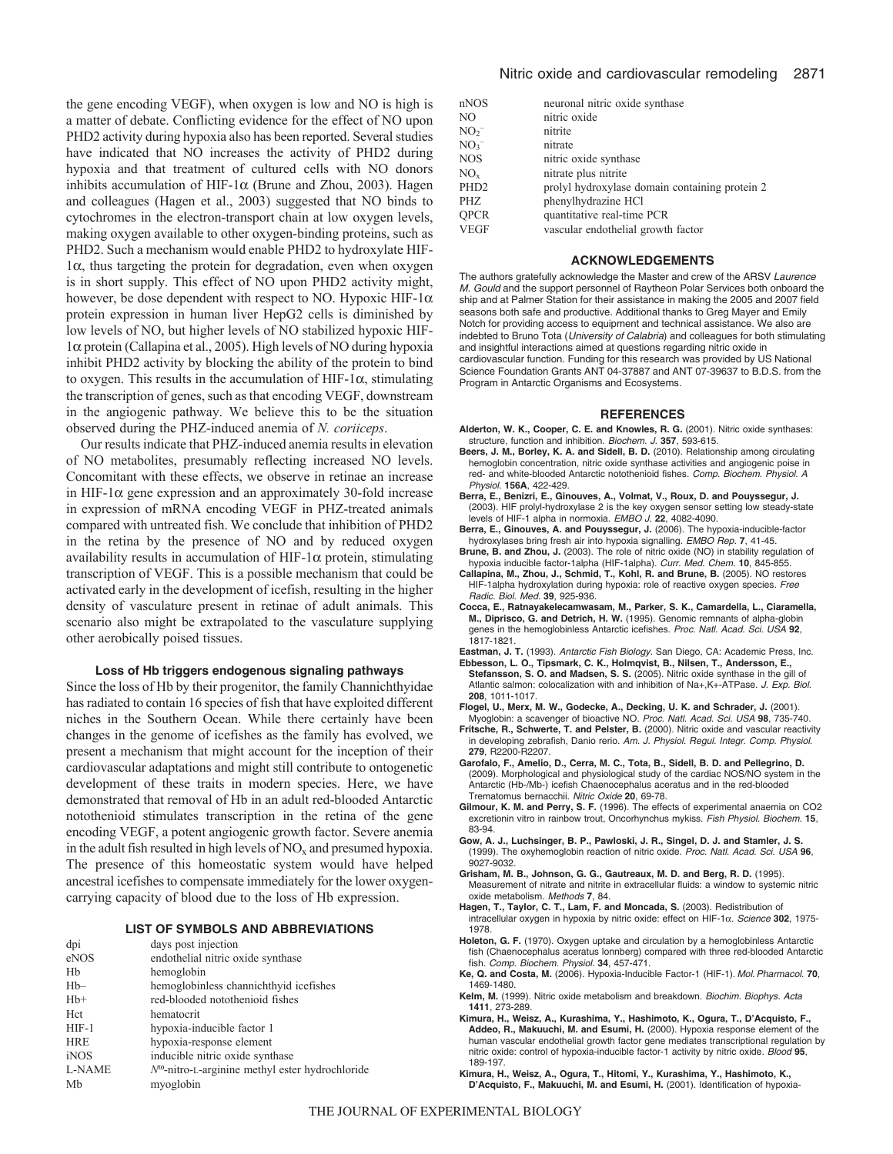the gene encoding VEGF), when oxygen is low and NO is high is a matter of debate. Conflicting evidence for the effect of NO upon PHD2 activity during hypoxia also has been reported. Several studies have indicated that NO increases the activity of PHD2 during hypoxia and that treatment of cultured cells with NO donors inhibits accumulation of HIF-1 $\alpha$  (Brune and Zhou, 2003). Hagen and colleagues (Hagen et al., 2003) suggested that NO binds to cytochromes in the electron-transport chain at low oxygen levels, making oxygen available to other oxygen-binding proteins, such as PHD2. Such a mechanism would enable PHD2 to hydroxylate HIF- $1\alpha$ , thus targeting the protein for degradation, even when oxygen is in short supply. This effect of NO upon PHD2 activity might, however, be dose dependent with respect to NO. Hypoxic HIF-1 $\alpha$ protein expression in human liver HepG2 cells is diminished by low levels of NO, but higher levels of NO stabilized hypoxic HIF-1a protein (Callapina et al., 2005). High levels of NO during hypoxia inhibit PHD2 activity by blocking the ability of the protein to bind to oxygen. This results in the accumulation of  $HIF-1\alpha$ , stimulating the transcription of genes, such as that encoding VEGF, downstream in the angiogenic pathway. We believe this to be the situation observed during the PHZ-induced anemia of *N. coriiceps*.

Our results indicate that PHZ-induced anemia results in elevation of NO metabolites, presumably reflecting increased NO levels. Concomitant with these effects, we observe in retinae an increase in HIF-1 $\alpha$  gene expression and an approximately 30-fold increase in expression of mRNA encoding VEGF in PHZ-treated animals compared with untreated fish. We conclude that inhibition of PHD2 in the retina by the presence of NO and by reduced oxygen availability results in accumulation of  $HIF-1\alpha$  protein, stimulating transcription of VEGF. This is a possible mechanism that could be activated early in the development of icefish, resulting in the higher density of vasculature present in retinae of adult animals. This scenario also might be extrapolated to the vasculature supplying other aerobically poised tissues.

#### **Loss of Hb triggers endogenous signaling pathways**

Since the loss of Hb by their progenitor, the family Channichthyidae has radiated to contain 16 species of fish that have exploited different niches in the Southern Ocean. While there certainly have been changes in the genome of icefishes as the family has evolved, we present a mechanism that might account for the inception of their cardiovascular adaptations and might still contribute to ontogenetic development of these traits in modern species. Here, we have demonstrated that removal of Hb in an adult red-blooded Antarctic notothenioid stimulates transcription in the retina of the gene encoding VEGF, a potent angiogenic growth factor. Severe anemia in the adult fish resulted in high levels of  $NO<sub>x</sub>$  and presumed hypoxia. The presence of this homeostatic system would have helped ancestral icefishes to compensate immediately for the lower oxygencarrying capacity of blood due to the loss of Hb expression.

#### **LIST OF SYMBOLS AND ABBREVIATIONS**

| dpi        | days post injection                                       |
|------------|-----------------------------------------------------------|
| eNOS       | endothelial nitric oxide synthase                         |
| Hb         | hemoglobin                                                |
| $Hb-$      | hemoglobinless channichthyid icefishes                    |
| $Hb+$      | red-blooded notothenioid fishes                           |
| Hct        | hematocrit                                                |
| $HIF-1$    | hypoxia-inducible factor 1                                |
| <b>HRE</b> | hypoxia-response element                                  |
| iNOS       | inducible nitric oxide synthase                           |
| L-NAME     | $N^{\omega}$ -nitro-L-arginine methyl ester hydrochloride |
| Mb         | myoglobin                                                 |
|            |                                                           |

| nNOS             | neuronal nitric oxide synthase                 |
|------------------|------------------------------------------------|
| NO.              | nitric oxide                                   |
| NO <sub>2</sub>  | nitrite                                        |
| NO <sub>3</sub>  | nitrate                                        |
| <b>NOS</b>       | nitric oxide synthase                          |
| $NO_{x}$         | nitrate plus nitrite                           |
| PHD <sub>2</sub> | prolyl hydroxylase domain containing protein 2 |
| PHZ.             | phenylhydrazine HCl                            |
| <b>OPCR</b>      | quantitative real-time PCR                     |
| <b>VEGF</b>      | vascular endothelial growth factor             |
|                  |                                                |

#### **ACKNOWLEDGEMENTS**

The authors gratefully acknowledge the Master and crew of the ARSV Laurence M. Gould and the support personnel of Raytheon Polar Services both onboard the ship and at Palmer Station for their assistance in making the 2005 and 2007 field seasons both safe and productive. Additional thanks to Greg Mayer and Emily Notch for providing access to equipment and technical assistance. We also are indebted to Bruno Tota (University of Calabria) and colleagues for both stimulating and insightful interactions aimed at questions regarding nitric oxide in cardiovascular function. Funding for this research was provided by US National Science Foundation Grants ANT 04-37887 and ANT 07-39637 to B.D.S. from the Program in Antarctic Organisms and Ecosystems.

#### **REFERENCES**

- **Alderton, W. K., Cooper, C. E. and Knowles, R. G.** (2001). Nitric oxide synthases: structure, function and inhibition. Biochem. J. **357**, 593-615.
- **Beers, J. M., Borley, K. A. and Sidell, B. D.** (2010). Relationship among circulating hemoglobin concentration, nitric oxide synthase activities and angiogenic poise in red- and white-blooded Antarctic notothenioid fishes. Comp. Biochem. Physiol. A Physiol. **156A**, 422-429.
- **Berra, E., Benizri, E., Ginouves, A., Volmat, V., Roux, D. and Pouyssegur, J.** (2003). HIF prolyl-hydroxylase 2 is the key oxygen sensor setting low steady-state levels of HIF-1 alpha in normoxia. EMBO J. **22**, 4082-4090.
- **Berra, E., Ginouves, A. and Pouyssegur, J.** (2006). The hypoxia-inducible-factor hydroxylases bring fresh air into hypoxia signalling. EMBO Rep. **7**, 41-45.
- **Brune, B. and Zhou, J.** (2003). The role of nitric oxide (NO) in stability regulation of hypoxia inducible factor-1alpha (HIF-1alpha). Curr. Med. Chem. **10**, 845-855.
- **Callapina, M., Zhou, J., Schmid, T., Kohl, R. and Brune, B.** (2005). NO restores HIF-1alpha hydroxylation during hypoxia: role of reactive oxygen species. Free Radic. Biol. Med. **39**, 925-936.
- **Cocca, E., Ratnayakelecamwasam, M., Parker, S. K., Camardella, L., Ciaramella, M., Diprisco, G. and Detrich, H. W.** (1995). Genomic remnants of alpha-globin genes in the hemoglobinless Antarctic icefishes. Proc. Natl. Acad. Sci. USA **92**, 1817-1821.

**Eastman, J. T.** (1993). Antarctic Fish Biology. San Diego, CA: Academic Press, Inc.

- **Ebbesson, L. O., Tipsmark, C. K., Holmqvist, B., Nilsen, T., Andersson, E., Stefansson, S. O. and Madsen, S. S.** (2005). Nitric oxide synthase in the gill of Atlantic salmon: colocalization with and inhibition of Na+,K+-ATPase. J. Exp. Biol. **208**, 1011-1017.
- **Flogel, U., Merx, M. W., Godecke, A., Decking, U. K. and Schrader, J.** (2001).
- Myoglobin: a scavenger of bioactive NO. Proc. Natl. Acad. Sci. USA **98**, 735-740. **Fritsche, R., Schwerte, T. and Pelster, B.** (2000). Nitric oxide and vascular reactivity in developing zebrafish, Danio rerio. Am. J. Physiol. Regul. Integr. Comp. Physiol. **279**, R2200-R2207.
- **Garofalo, F., Amelio, D., Cerra, M. C., Tota, B., Sidell, B. D. and Pellegrino, D.** (2009). Morphological and physiological study of the cardiac NOS/NO system in the Antarctic (Hb-/Mb-) icefish Chaenocephalus aceratus and in the red-blooded Trematomus bernacchii. Nitric Oxide **20**, 69-78.
- **Gilmour, K. M. and Perry, S. F.** (1996). The effects of experimental anaemia on CO2 excretionin vitro in rainbow trout, Oncorhynchus mykiss. Fish Physiol. Biochem. **15**, 83-94.
- **Gow, A. J., Luchsinger, B. P., Pawloski, J. R., Singel, D. J. and Stamler, J. S.** (1999). The oxyhemoglobin reaction of nitric oxide. Proc. Natl. Acad. Sci. USA **96**, 9027-9032.
- **Grisham, M. B., Johnson, G. G., Gautreaux, M. D. and Berg, R. D.** (1995). Measurement of nitrate and nitrite in extracellular fluids: a window to systemic nitric oxide metabolism. Methods **7**, 84.
- **Hagen, T., Taylor, C. T., Lam, F. and Moncada, S.** (2003). Redistribution of intracellular oxygen in hypoxia by nitric oxide: effect on HIF-1a. Science **302**, 1975- 1978.
- **Holeton, G. F.** (1970). Oxygen uptake and circulation by a hemoglobinless Antarctic fish (Chaenocephalus aceratus lonnberg) compared with three red-blooded Antarctic fish. Comp. Biochem. Physiol. **34**, 457-471.
- **Ke, Q. and Costa, M.** (2006). Hypoxia-Inducible Factor-1 (HIF-1). Mol. Pharmacol. **70**, 1469-1480.
- **Kelm, M.** (1999). Nitric oxide metabolism and breakdown. Biochim. Biophys. Acta **1411**, 273-289.
- **Kimura, H., Weisz, A., Kurashima, Y., Hashimoto, K., Ogura, T., D'Acquisto, F., Addeo, R., Makuuchi, M. and Esumi, H.** (2000). Hypoxia response element of the human vascular endothelial growth factor gene mediates transcriptional regulation by nitric oxide: control of hypoxia-inducible factor-1 activity by nitric oxide. Blood **95**, 189-197.
- **Kimura, H., Weisz, A., Ogura, T., Hitomi, Y., Kurashima, Y., Hashimoto, K., D'Acquisto, F., Makuuchi, M. and Esumi, H.** (2001). Identification of hypoxia-